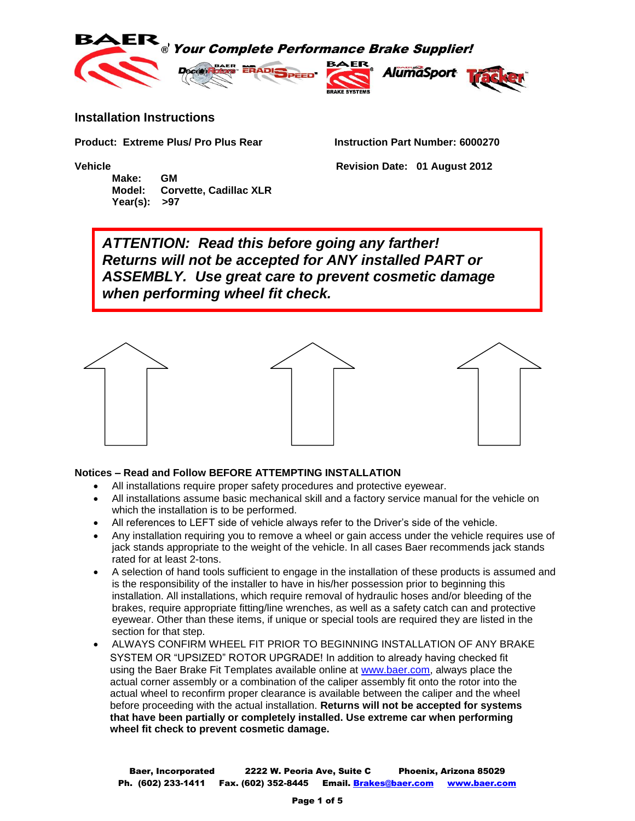





## **Installation Instructions**

**Product: Extreme Plus/ Pro Plus Rear Instruction Part Number: 6000270**

**Make: GM Model: Corvette, Cadillac XLR Year(s): >97**

**Vehicle Revision Date: 01 August 2012**

*ATTENTION: Read this before going any farther! Returns will not be accepted for ANY installed PART or ASSEMBLY. Use great care to prevent cosmetic damage when performing wheel fit check.*



## **Notices – Read and Follow BEFORE ATTEMPTING INSTALLATION**

- All installations require proper safety procedures and protective eyewear.
- All installations assume basic mechanical skill and a factory service manual for the vehicle on which the installation is to be performed.
- All references to LEFT side of vehicle always refer to the Driver's side of the vehicle.
- Any installation requiring you to remove a wheel or gain access under the vehicle requires use of jack stands appropriate to the weight of the vehicle. In all cases Baer recommends jack stands rated for at least 2-tons.
- A selection of hand tools sufficient to engage in the installation of these products is assumed and is the responsibility of the installer to have in his/her possession prior to beginning this installation. All installations, which require removal of hydraulic hoses and/or bleeding of the brakes, require appropriate fitting/line wrenches, as well as a safety catch can and protective eyewear. Other than these items, if unique or special tools are required they are listed in the section for that step.
- ALWAYS CONFIRM WHEEL FIT PRIOR TO BEGINNING INSTALLATION OF ANY BRAKE SYSTEM OR "UPSIZED" ROTOR UPGRADE! In addition to already having checked fit using the Baer Brake Fit Templates available online at [www.baer.com,](http://www.baer.com/) always place the actual corner assembly or a combination of the caliper assembly fit onto the rotor into the actual wheel to reconfirm proper clearance is available between the caliper and the wheel before proceeding with the actual installation. **Returns will not be accepted for systems that have been partially or completely installed. Use extreme car when performing wheel fit check to prevent cosmetic damage.**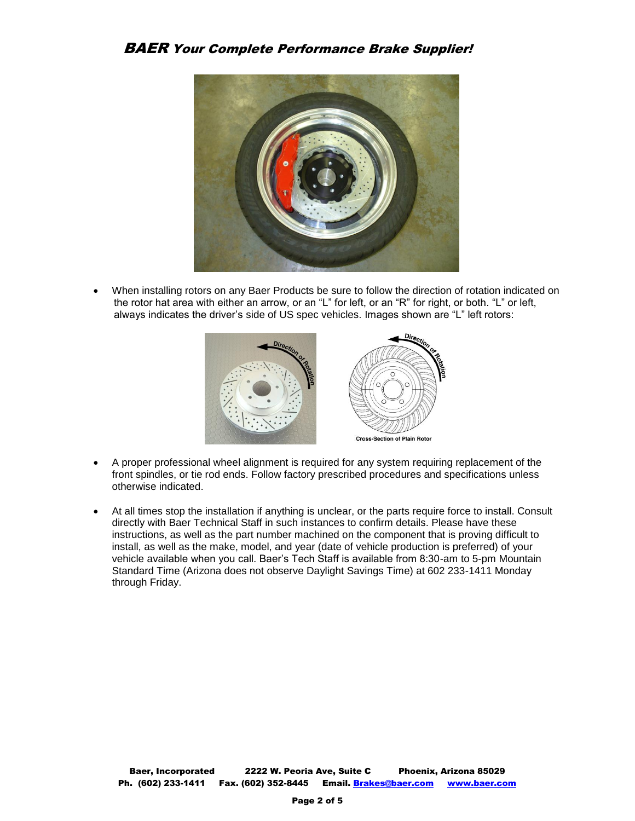## BAER Your Complete Performance Brake Supplier!



 When installing rotors on any Baer Products be sure to follow the direction of rotation indicated on the rotor hat area with either an arrow, or an "L" for left, or an "R" for right, or both. "L" or left, always indicates the driver's side of US spec vehicles. Images shown are "L" left rotors:



- A proper professional wheel alignment is required for any system requiring replacement of the front spindles, or tie rod ends. Follow factory prescribed procedures and specifications unless otherwise indicated.
- At all times stop the installation if anything is unclear, or the parts require force to install. Consult directly with Baer Technical Staff in such instances to confirm details. Please have these instructions, as well as the part number machined on the component that is proving difficult to install, as well as the make, model, and year (date of vehicle production is preferred) of your vehicle available when you call. Baer's Tech Staff is available from 8:30-am to 5-pm Mountain Standard Time (Arizona does not observe Daylight Savings Time) at 602 233-1411 Monday through Friday.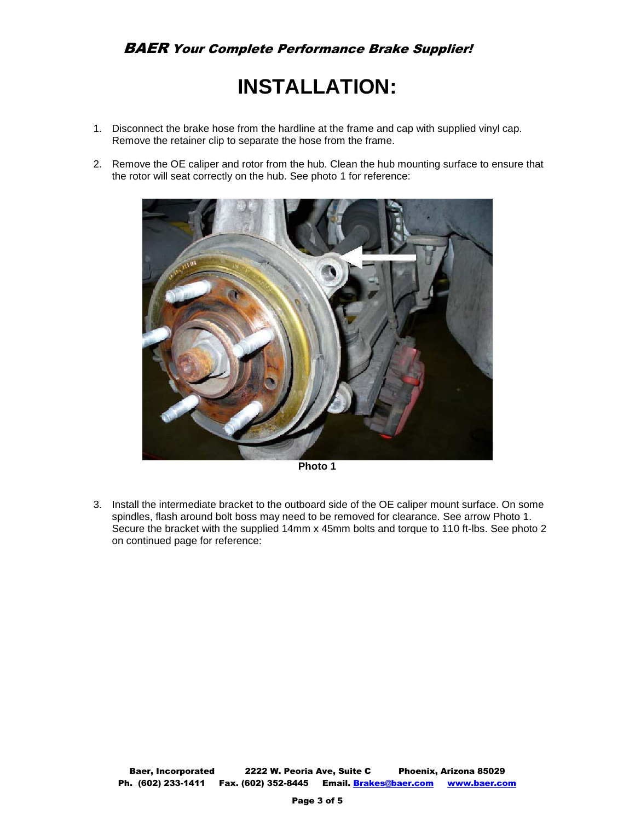# BAER Your Complete Performance Brake Supplier!

# **INSTALLATION:**

- 1. Disconnect the brake hose from the hardline at the frame and cap with supplied vinyl cap. Remove the retainer clip to separate the hose from the frame.
- 2. Remove the OE caliper and rotor from the hub. Clean the hub mounting surface to ensure that the rotor will seat correctly on the hub. See photo 1 for reference:



**Photo 1** 

3. Install the intermediate bracket to the outboard side of the OE caliper mount surface. On some spindles, flash around bolt boss may need to be removed for clearance. See arrow Photo 1. Secure the bracket with the supplied 14mm x 45mm bolts and torque to 110 ft-lbs. See photo 2 on continued page for reference: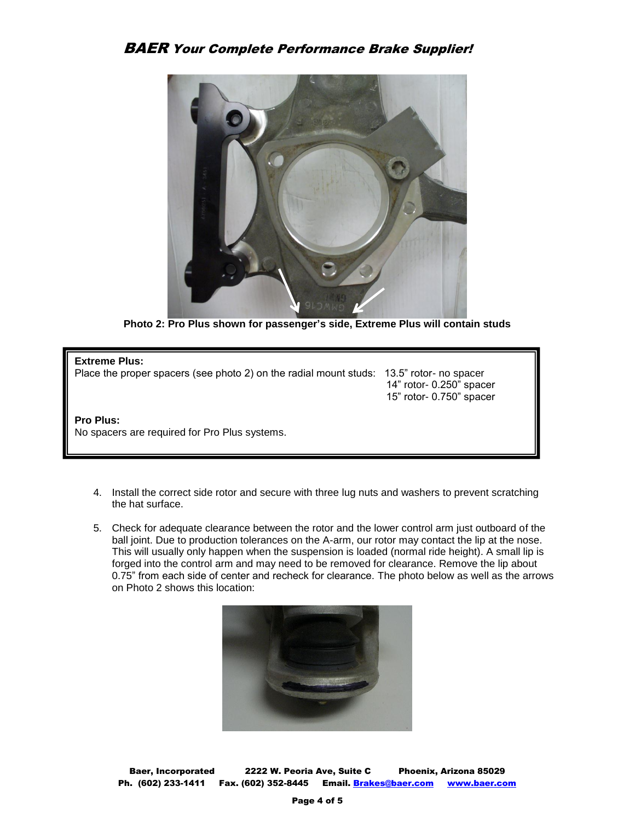

**Photo 2: Pro Plus shown for passenger's side, Extreme Plus will contain studs** 

15" rotor- 0.750" spacer

#### **Extreme Plus:**

Place the proper spacers (see photo 2) on the radial mount studs: 13.5" rotor- no spacer 14" rotor- 0.250" spacer

## **Pro Plus:**  No spacers are required for Pro Plus systems.

- 4. Install the correct side rotor and secure with three lug nuts and washers to prevent scratching the hat surface.
- 5. Check for adequate clearance between the rotor and the lower control arm just outboard of the ball joint. Due to production tolerances on the A-arm, our rotor may contact the lip at the nose. This will usually only happen when the suspension is loaded (normal ride height). A small lip is forged into the control arm and may need to be removed for clearance. Remove the lip about 0.75" from each side of center and recheck for clearance. The photo below as well as the arrows on Photo 2 shows this location:



Baer, Incorporated 2222 W. Peoria Ave, Suite C Phoenix, Arizona 85029 Ph. (602) 233-1411 Fax. (602) 352-8445 Email. Brakes@baer.com www.baer.com